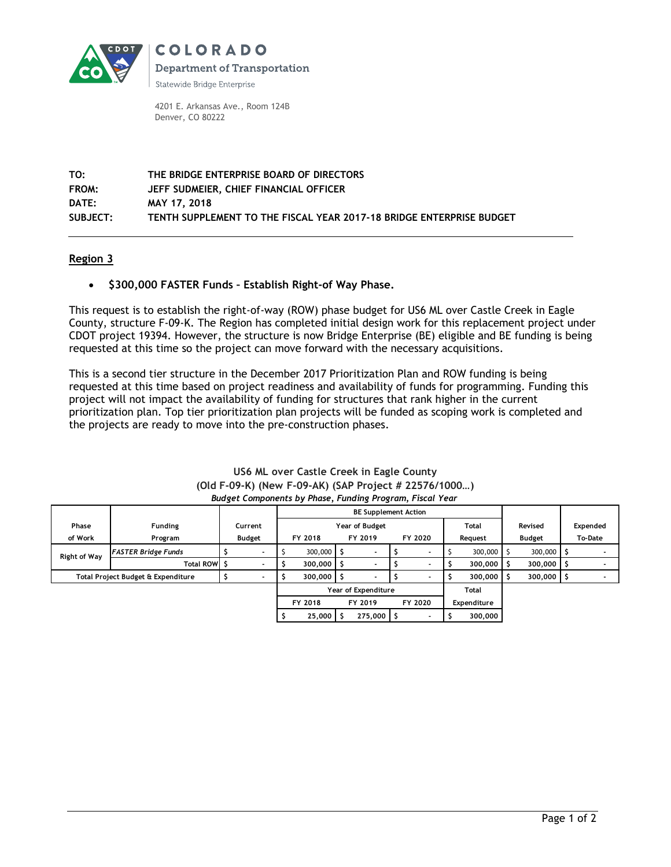

**COLORADO Department of Transportation** 

Statewide Bridge Enterprise

4201 E. Arkansas Ave., Room 124B Denver, CO 80222

**TO: THE BRIDGE ENTERPRISE BOARD OF DIRECTORS FROM: JEFF SUDMEIER, CHIEF FINANCIAL OFFICER DATE: MAY 17, 2018 SUBJECT: TENTH SUPPLEMENT TO THE FISCAL YEAR 2017-18 BRIDGE ENTERPRISE BUDGET**

## **Region 3**

## **\$300,000 FASTER Funds – Establish Right-of Way Phase.**

This request is to establish the right-of-way (ROW) phase budget for US6 ML over Castle Creek in Eagle County, structure F-09-K. The Region has completed initial design work for this replacement project under CDOT project 19394. However, the structure is now Bridge Enterprise (BE) eligible and BE funding is being requested at this time so the project can move forward with the necessary acquisitions.

This is a second tier structure in the December 2017 Prioritization Plan and ROW funding is being requested at this time based on project readiness and availability of funds for programming. Funding this project will not impact the availability of funding for structures that rank higher in the current prioritization plan. Top tier prioritization plan projects will be funded as scoping work is completed and the projects are ready to move into the pre-construction phases.

|                                    |                            |         | <b>BE Supplement Action</b> |                    |                    |           |         |                          |         |               |         |                |          |  |
|------------------------------------|----------------------------|---------|-----------------------------|--------------------|--------------------|-----------|---------|--------------------------|---------|---------------|---------|----------------|----------|--|
| Phase                              | <b>Funding</b>             | Current | Year of Budget              |                    |                    |           |         | Total                    |         |               | Revised |                | Expended |  |
| of Work                            | Program                    | Budget  |                             | FY 2018            | FY 2019<br>FY 2020 |           |         | Reauest                  |         | <b>Budget</b> |         | <b>To-Date</b> |          |  |
| <b>Right of Way</b>                | <b>FASTER Bridge Funds</b> |         |                             | $300,000$ S        |                    |           |         |                          |         | 300,000       |         | 300,000        |          |  |
|                                    | Total ROW \$               |         |                             | $300,000$ S        |                    |           |         |                          |         | 300,000       |         | 300,000        |          |  |
| Total Project Budget & Expenditure |                            |         | $300,000$ \$                |                    |                    |           |         |                          | 300,000 |               | 300,000 |                |          |  |
|                                    |                            |         | Year of Expenditure         |                    |                    |           |         |                          | Total   |               |         |                |          |  |
|                                    |                            |         |                             | FY 2018<br>FY 2019 |                    |           | FY 2020 |                          |         | Expenditure   |         |                |          |  |
|                                    |                            |         |                             | 25,000             |                    | 275,000 S |         | $\overline{\phantom{0}}$ |         | 300,000       |         |                |          |  |

#### **US6 ML over Castle Creek in Eagle County (Old F-09-K) (New F-09-AK) (SAP Project # 22576/1000…)** *Budget Components by Phase, Funding Program, Fiscal Year*